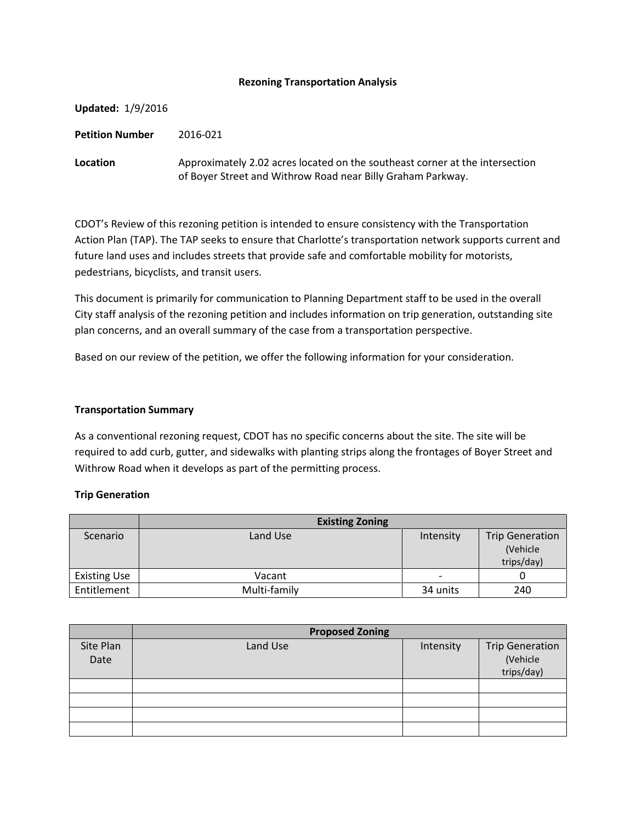### **Rezoning Transportation Analysis**

| <b>Updated: 1/9/2016</b> |                                                                                                                                             |
|--------------------------|---------------------------------------------------------------------------------------------------------------------------------------------|
| <b>Petition Number</b>   | 2016-021                                                                                                                                    |
| Location                 | Approximately 2.02 acres located on the southeast corner at the intersection<br>of Boyer Street and Withrow Road near Billy Graham Parkway. |

CDOT's Review of this rezoning petition is intended to ensure consistency with the Transportation Action Plan (TAP). The TAP seeks to ensure that Charlotte's transportation network supports current and future land uses and includes streets that provide safe and comfortable mobility for motorists, pedestrians, bicyclists, and transit users.

This document is primarily for communication to Planning Department staff to be used in the overall City staff analysis of the rezoning petition and includes information on trip generation, outstanding site plan concerns, and an overall summary of the case from a transportation perspective.

Based on our review of the petition, we offer the following information for your consideration.

### **Transportation Summary**

As a conventional rezoning request, CDOT has no specific concerns about the site. The site will be required to add curb, gutter, and sidewalks with planting strips along the frontages of Boyer Street and Withrow Road when it develops as part of the permitting process.

# **Trip Generation**

|                     | <b>Existing Zoning</b> |                          |                                                  |
|---------------------|------------------------|--------------------------|--------------------------------------------------|
| Scenario            | Land Use               | Intensity                | <b>Trip Generation</b><br>(Vehicle<br>trips/day) |
| <b>Existing Use</b> | Vacant                 | $\overline{\phantom{0}}$ |                                                  |
| Entitlement         | Multi-family           | 34 units                 | 240                                              |

|                   | <b>Proposed Zoning</b> |           |                                                  |  |
|-------------------|------------------------|-----------|--------------------------------------------------|--|
| Site Plan<br>Date | Land Use               | Intensity | <b>Trip Generation</b><br>(Vehicle<br>trips/day) |  |
|                   |                        |           |                                                  |  |
|                   |                        |           |                                                  |  |
|                   |                        |           |                                                  |  |
|                   |                        |           |                                                  |  |